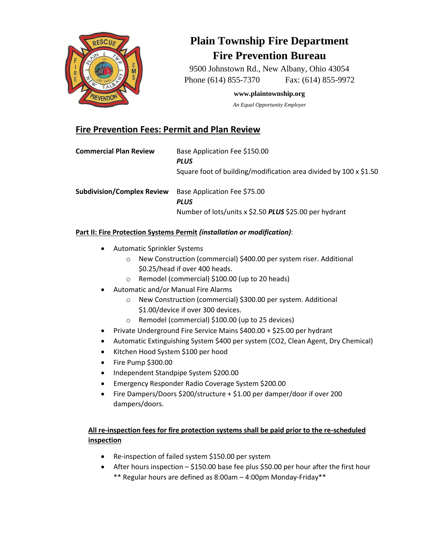

# **Plain Township Fire Department Fire Prevention Bureau**

9500 Johnstown Rd., New Albany, Ohio 43054 Phone (614) 855-7370 Fax: (614) 855-9972

**www.plaintownship.org**

*An Equal Opportunity Employer*

# **Fire Prevention Fees: Permit and Plan Review**

| <b>Commercial Plan Review</b>     | Base Application Fee \$150.00<br><b>PLUS</b><br>Square foot of building/modification area divided by 100 x \$1.50 |
|-----------------------------------|-------------------------------------------------------------------------------------------------------------------|
| <b>Subdivision/Complex Review</b> | Base Application Fee \$75.00<br><b>PLUS</b><br>Number of lots/units x \$2.50 PLUS \$25.00 per hydrant             |

### **Part II: Fire Protection Systems Permit** *(installation or modification)*:

- Automatic Sprinkler Systems
	- o New Construction (commercial) \$400.00 per system riser. Additional \$0.25/head if over 400 heads.
	- o Remodel (commercial) \$100.00 (up to 20 heads)
- Automatic and/or Manual Fire Alarms
	- o New Construction (commercial) \$300.00 per system. Additional \$1.00/device if over 300 devices.
	- o Remodel (commercial) \$100.00 (up to 25 devices)
- Private Underground Fire Service Mains \$400.00 + \$25.00 per hydrant
- Automatic Extinguishing System \$400 per system (CO2, Clean Agent, Dry Chemical)
- Kitchen Hood System \$100 per hood
- Fire Pump \$300.00
- Independent Standpipe System \$200.00
- Emergency Responder Radio Coverage System \$200.00
- Fire Dampers/Doors \$200/structure + \$1.00 per damper/door if over 200 dampers/doors.

## **All re-inspection fees for fire protection systems shall be paid prior to the re-scheduled inspection**

- Re-inspection of failed system \$150.00 per system
- After hours inspection \$150.00 base fee plus \$50.00 per hour after the first hour \*\* Regular hours are defined as 8:00am – 4:00pm Monday-Friday\*\*